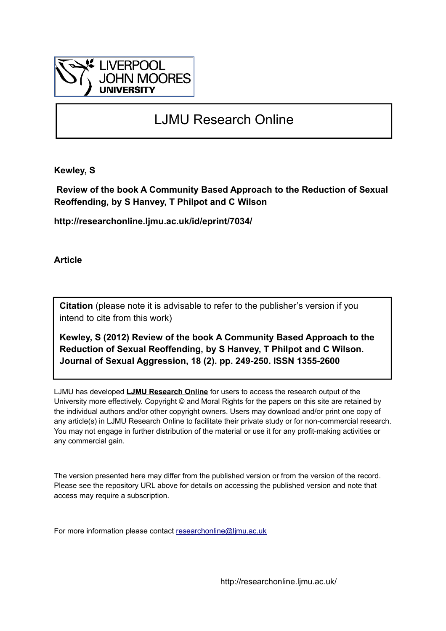

# LJMU Research Online

**Kewley, S**

 **Review of the book A Community Based Approach to the Reduction of Sexual Reoffending, by S Hanvey, T Philpot and C Wilson**

**http://researchonline.ljmu.ac.uk/id/eprint/7034/**

**Article**

**Citation** (please note it is advisable to refer to the publisher's version if you intend to cite from this work)

**Kewley, S (2012) Review of the book A Community Based Approach to the Reduction of Sexual Reoffending, by S Hanvey, T Philpot and C Wilson. Journal of Sexual Aggression, 18 (2). pp. 249-250. ISSN 1355-2600** 

LJMU has developed **[LJMU Research Online](http://researchonline.ljmu.ac.uk/)** for users to access the research output of the University more effectively. Copyright © and Moral Rights for the papers on this site are retained by the individual authors and/or other copyright owners. Users may download and/or print one copy of any article(s) in LJMU Research Online to facilitate their private study or for non-commercial research. You may not engage in further distribution of the material or use it for any profit-making activities or any commercial gain.

The version presented here may differ from the published version or from the version of the record. Please see the repository URL above for details on accessing the published version and note that access may require a subscription.

For more information please contact [researchonline@ljmu.ac.uk](mailto:researchonline@ljmu.ac.uk)

http://researchonline.ljmu.ac.uk/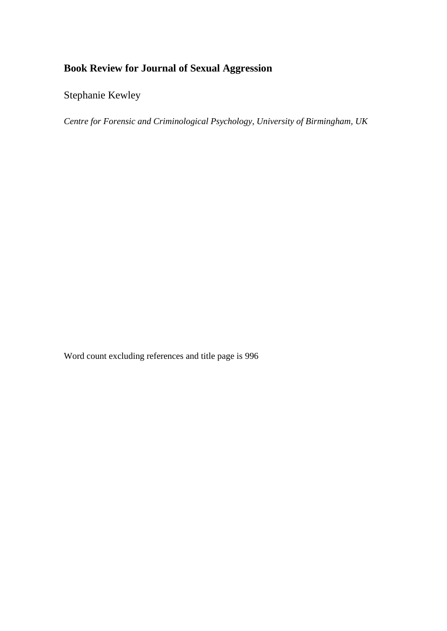## **Book Review for Journal of Sexual Aggression**

Stephanie Kewley

*Centre for Forensic and Criminological Psychology, University of Birmingham, UK*

Word count excluding references and title page is 996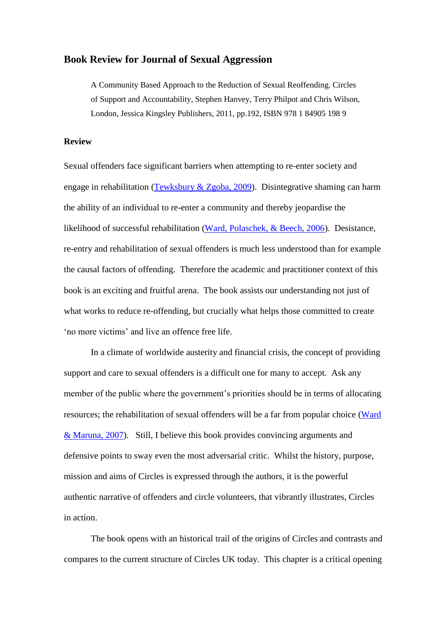#### **Book Review for Journal of Sexual Aggression**

A Community Based Approach to the Reduction of Sexual Reoffending. Circles of Support and Accountability, Stephen Hanvey, Terry Philpot and Chris Wilson, London, Jessica Kingsley Publishers, 2011, pp.192, ISBN 978 1 84905 198 9

#### **Review**

Sexual offenders face significant barriers when attempting to re-enter society and engage in rehabilitation [\(Tewksbury & Zgoba, 2009\)](#page-5-0). Disintegrative shaming can harm the ability of an individual to re-enter a community and thereby jeopardise the likelihood of successful rehabilitation [\(Ward, Polaschek, & Beech, 2006\)](#page-5-1). Desistance, re-entry and rehabilitation of sexual offenders is much less understood than for example the causal factors of offending. Therefore the academic and practitioner context of this book is an exciting and fruitful arena. The book assists our understanding not just of what works to reduce re-offending, but crucially what helps those committed to create 'no more victims' and live an offence free life.

In a climate of worldwide austerity and financial crisis, the concept of providing support and care to sexual offenders is a difficult one for many to accept. Ask any member of the public where the government's priorities should be in terms of allocating resources; the rehabilitation of sexual offenders will be a far from popular choice [\(Ward](#page-5-2)  [& Maruna, 2007\)](#page-5-2). Still, I believe this book provides convincing arguments and defensive points to sway even the most adversarial critic. Whilst the history, purpose, mission and aims of Circles is expressed through the authors, it is the powerful authentic narrative of offenders and circle volunteers, that vibrantly illustrates, Circles in action.

The book opens with an historical trail of the origins of Circles and contrasts and compares to the current structure of Circles UK today. This chapter is a critical opening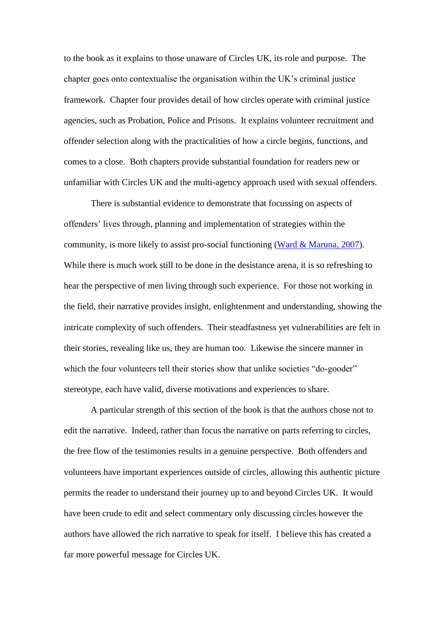to the book as it explains to those unaware of Circles UK, its role and purpose. The chapter goes onto contextualise the organisation within the UK's criminal justice framework. Chapter four provides detail of how circles operate with criminal justice agencies, such as Probation, Police and Prisons. It explains volunteer recruitment and offender selection along with the practicalities of how a circle begins, functions, and comes to a close. Both chapters provide substantial foundation for readers new or unfamiliar with Circles UK and the multi-agency approach used with sexual offenders.

There is substantial evidence to demonstrate that focussing on aspects of offenders' lives through, planning and implementation of strategies within the community, is more likely to assist pro-social functioning [\(Ward & Maruna, 2007\)](#page-5-2). While there is much work still to be done in the desistance arena, it is so refreshing to hear the perspective of men living through such experience. For those not working in the field, their narrative provides insight, enlightenment and understanding, showing the intricate complexity of such offenders. Their steadfastness yet vulnerabilities are felt in their stories, revealing like us, they are human too. Likewise the sincere manner in which the four volunteers tell their stories show that unlike societies "do-gooder" stereotype, each have valid, diverse motivations and experiences to share.

A particular strength of this section of the book is that the authors chose not to edit the narrative. Indeed, rather than focus the narrative on parts referring to circles, the free flow of the testimonies results in a genuine perspective. Both offenders and volunteers have important experiences outside of circles, allowing this authentic picture permits the reader to understand their journey up to and beyond Circles UK. It would have been crude to edit and select commentary only discussing circles however the authors have allowed the rich narrative to speak for itself. I believe this has created a far more powerful message for Circles UK.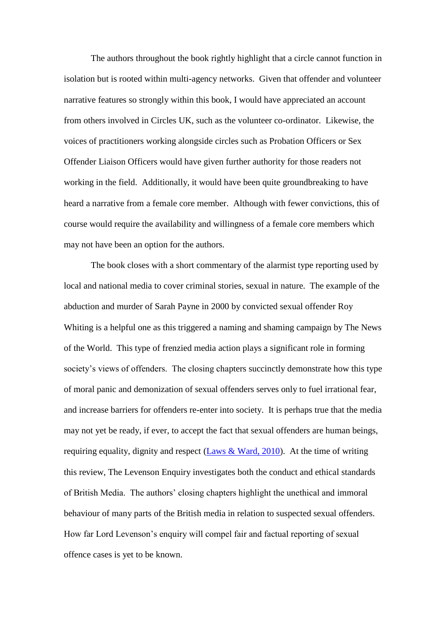The authors throughout the book rightly highlight that a circle cannot function in isolation but is rooted within multi-agency networks. Given that offender and volunteer narrative features so strongly within this book, I would have appreciated an account from others involved in Circles UK, such as the volunteer co-ordinator. Likewise, the voices of practitioners working alongside circles such as Probation Officers or Sex Offender Liaison Officers would have given further authority for those readers not working in the field. Additionally, it would have been quite groundbreaking to have heard a narrative from a female core member. Although with fewer convictions, this of course would require the availability and willingness of a female core members which may not have been an option for the authors.

The book closes with a short commentary of the alarmist type reporting used by local and national media to cover criminal stories, sexual in nature. The example of the abduction and murder of Sarah Payne in 2000 by convicted sexual offender Roy Whiting is a helpful one as this triggered a naming and shaming campaign by The News of the World. This type of frenzied media action plays a significant role in forming society's views of offenders. The closing chapters succinctly demonstrate how this type of moral panic and demonization of sexual offenders serves only to fuel irrational fear, and increase barriers for offenders re-enter into society. It is perhaps true that the media may not yet be ready, if ever, to accept the fact that sexual offenders are human beings, requiring equality, dignity and respect (Laws  $& Ward, 2010$ ). At the time of writing this review, The Levenson Enquiry investigates both the conduct and ethical standards of British Media. The authors' closing chapters highlight the unethical and immoral behaviour of many parts of the British media in relation to suspected sexual offenders. How far Lord Levenson's enquiry will compel fair and factual reporting of sexual offence cases is yet to be known.